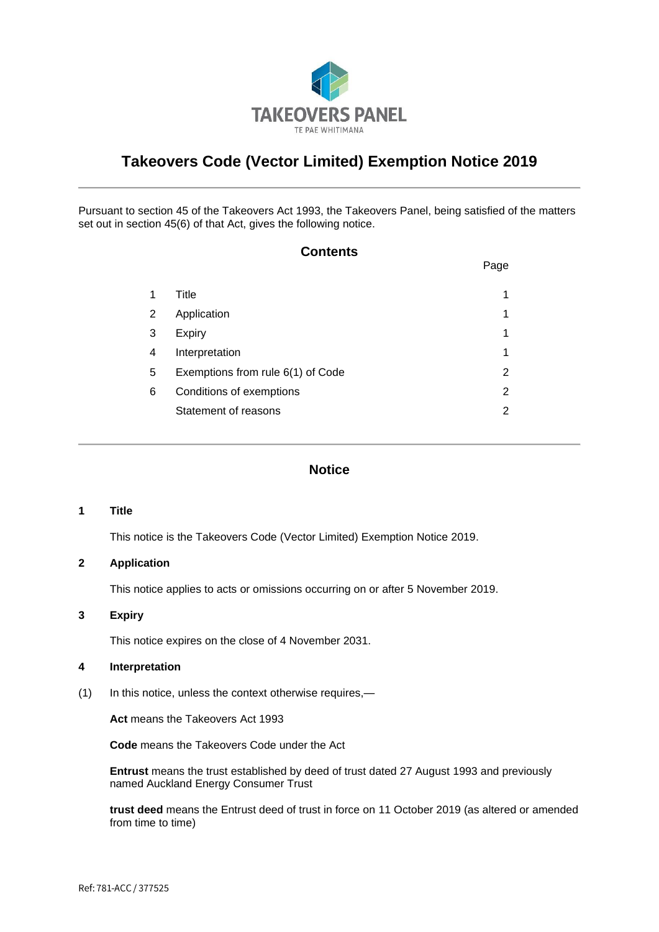

# **Takeovers Code (Vector Limited) Exemption Notice 2019**

Pursuant to section 45 of the Takeovers Act 1993, the Takeovers Panel, being satisfied of the matters set out in section 45(6) of that Act, gives the following notice.

## **Contents**

|   |                                   | Page |
|---|-----------------------------------|------|
|   | Title                             | 1    |
| 2 | Application                       | 1    |
| 3 | Expiry                            | 1    |
| 4 | Interpretation                    | 1    |
| 5 | Exemptions from rule 6(1) of Code | 2    |
| 6 | Conditions of exemptions          | 2    |
|   | Statement of reasons              | 2    |

### **Notice**

#### **1 Title**

This notice is the Takeovers Code (Vector Limited) Exemption Notice 2019.

#### **2 Application**

This notice applies to acts or omissions occurring on or after 5 November 2019.

#### **3 Expiry**

This notice expires on the close of 4 November 2031.

### **4 Interpretation**

(1) In this notice, unless the context otherwise requires,—

**Act** means the Takeovers Act 1993

**Code** means the Takeovers Code under the Act

**Entrust** means the trust established by deed of trust dated 27 August 1993 and previously named Auckland Energy Consumer Trust

**trust deed** means the Entrust deed of trust in force on 11 October 2019 (as altered or amended from time to time)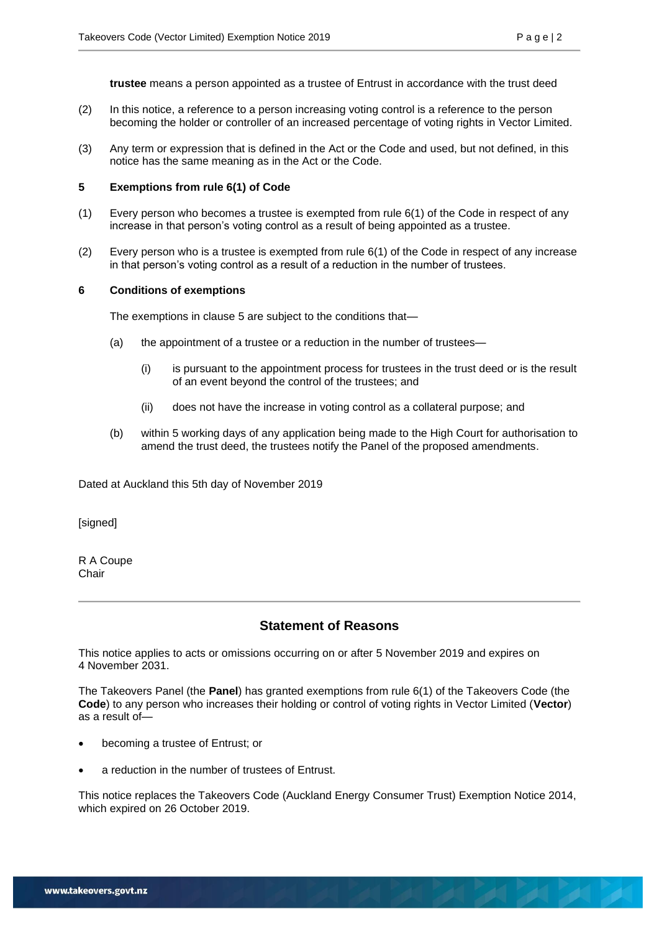**trustee** means a person appointed as a trustee of Entrust in accordance with the trust deed

- (2) In this notice, a reference to a person increasing voting control is a reference to the person becoming the holder or controller of an increased percentage of voting rights in Vector Limited.
- (3) Any term or expression that is defined in the Act or the Code and used, but not defined, in this notice has the same meaning as in the Act or the Code.

#### **5 Exemptions from rule 6(1) of Code**

- (1) Every person who becomes a trustee is exempted from rule 6(1) of the Code in respect of any increase in that person's voting control as a result of being appointed as a trustee.
- (2) Every person who is a trustee is exempted from rule 6(1) of the Code in respect of any increase in that person's voting control as a result of a reduction in the number of trustees.

#### **6 Conditions of exemptions**

The exemptions in clause 5 are subject to the conditions that—

- (a) the appointment of a trustee or a reduction in the number of trustees—
	- (i) is pursuant to the appointment process for trustees in the trust deed or is the result of an event beyond the control of the trustees; and
	- (ii) does not have the increase in voting control as a collateral purpose; and
- (b) within 5 working days of any application being made to the High Court for authorisation to amend the trust deed, the trustees notify the Panel of the proposed amendments.

Dated at Auckland this 5th day of November 2019

[signed]

R A Coupe Chair

## **Statement of Reasons**

This notice applies to acts or omissions occurring on or after 5 November 2019 and expires on 4 November 2031.

The Takeovers Panel (the **Panel**) has granted exemptions from rule 6(1) of the Takeovers Code (the **Code**) to any person who increases their holding or control of voting rights in Vector Limited (**Vector**) as a result of—

- becoming a trustee of Entrust; or
- a reduction in the number of trustees of Entrust.

This notice replaces the Takeovers Code (Auckland Energy Consumer Trust) Exemption Notice 2014, which expired on 26 October 2019.